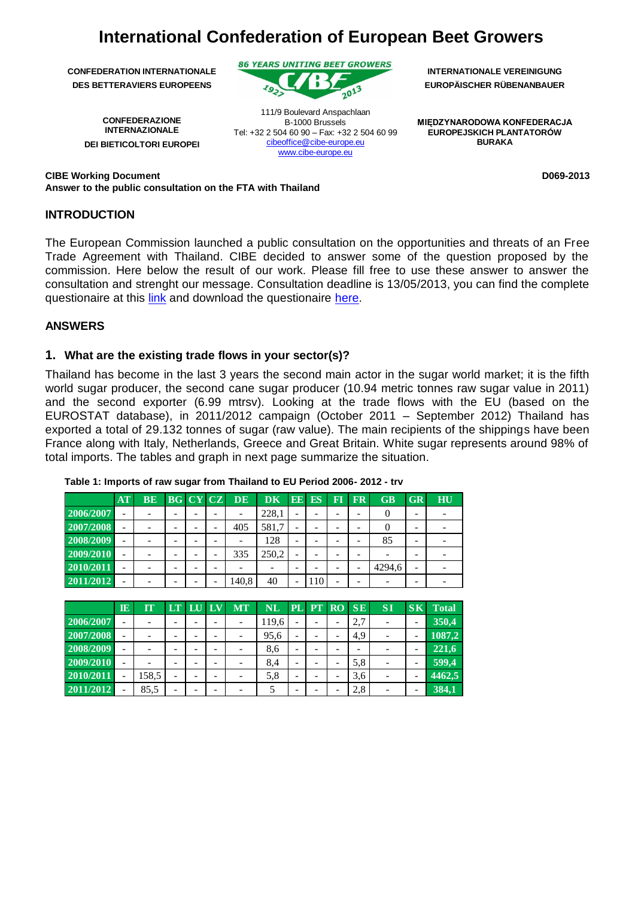# **International Confederation of European Beet Growers**

2013

**86 YEARS UNITING BEET GROWERS** 

192

**CONFEDERATION INTERNATIONALE DES BETTERAVIERS EUROPEENS**

> **CONFEDERAZIONE INTERNAZIONALE DEI BIETICOLTORI EUROPEI**

111/9 Boulevard Anspachlaan B-1000 Brussels Tel: +32 2 504 60 90 – Fax: +32 2 504 60 99 cibeoffice@cibe-europe.eu www.cibe-europe.eu

**INTERNATIONALE VEREINIGUNG EUROPÄISCHER RÜBENANBAUER**

**MIĘDZYNARODOWA KONFEDERACJA EUROPEJSKICH PLANTATORÓW BURAKA**

**CIBE Working Document Answer to the public consultation on the FTA with Thailand**

#### **INTRODUCTION**

The European Commission launched a public consultation on the opportunities and threats of an Free Trade Agreement with Thailand. CIBE decided to answer some of the question proposed by the commission. Here below the result of our work. Please fill free to use these answer to answer the consultation and strenght our message. Consultation deadline is 13/05/2013, you can find the complete questionaire at this [link](http://trade.ec.europa.eu/consultations/?consul_id=172) and download the questionaire [here.](http://trade.ec.europa.eu/consultations/documents/consul_149.doc)

#### **ANSWERS**

#### **1. What are the existing trade flows in your sector(s)?**

Thailand has become in the last 3 years the second main actor in the sugar world market; it is the fifth world sugar producer, the second cane sugar producer (10.94 metric tonnes raw sugar value in 2011) and the second exporter (6.99 mtrsv). Looking at the trade flows with the EU (based on the EUROSTAT database), in 2011/2012 campaign (October 2011 – September 2012) Thailand has exported a total of 29.132 tonnes of sugar (raw value). The main recipients of the shippings have been France along with Italy, Netherlands, Greece and Great Britain. White sugar represents around 98% of total imports. The tables and graph in next page summarize the situation.

|           | AT | <b>BE</b> |   | <b>BG CY CZ</b> |   | <b>DE</b> | DK.   | EE.                      | ES  | FI | <b>FR</b> | <b>GB</b> | <b>GR</b>                | HU |
|-----------|----|-----------|---|-----------------|---|-----------|-------|--------------------------|-----|----|-----------|-----------|--------------------------|----|
| 2006/2007 |    |           |   |                 |   |           | 228,1 | $\overline{\phantom{a}}$ |     |    |           | 0         |                          |    |
| 2007/2008 |    |           |   | -               | - | 405       | 581,7 | $\overline{\phantom{a}}$ |     |    |           | $\theta$  |                          |    |
| 2008/2009 |    |           | - | -               |   |           | 128   | ۰                        |     |    |           | 85        | $\overline{\phantom{a}}$ |    |
| 2009/2010 |    |           |   | -               |   | 335       | 250.2 | $\overline{\phantom{a}}$ |     |    |           |           |                          |    |
| 2010/2011 |    |           | - | -               |   |           |       |                          |     |    |           | 4294.6    | $\overline{\phantom{a}}$ |    |
| 2011/2012 |    |           | - | -               |   | 140,8     | 40    | ۰                        | 110 |    |           |           | -                        |    |

|  |  |  | Table 1: Imports of raw sugar from Thailand to EU Period 2006- 2012 - trv |  |  |  |
|--|--|--|---------------------------------------------------------------------------|--|--|--|
|  |  |  |                                                                           |  |  |  |

| 2011/2012 |                         |       | -  | -                        |                          | 140,8                  | 40        | ۰                        | 110       |           |           | $\overline{\phantom{a}}$ |                          |              |
|-----------|-------------------------|-------|----|--------------------------|--------------------------|------------------------|-----------|--------------------------|-----------|-----------|-----------|--------------------------|--------------------------|--------------|
|           |                         |       |    |                          |                          |                        |           |                          |           |           |           |                          |                          |              |
|           | $\overline{\mathbf{E}}$ | Tν    | LТ | LU                       | $\mathbf{I} \mathbf{N}$  | $\overline{\text{MT}}$ | <b>NL</b> | PL                       | <b>PT</b> | <b>RO</b> | <b>SE</b> | <b>SI</b>                | $S\overline{K}$          | <b>Total</b> |
| 2006/2007 |                         |       | -  | -                        |                          |                        | 119,6     | $\overline{\phantom{a}}$ |           |           | 2,7       |                          | $\overline{\phantom{a}}$ | 350,4        |
| 2007/2008 |                         |       | -  | $\overline{\phantom{0}}$ | -                        |                        | 95,6      | $\overline{\phantom{a}}$ |           |           | 4,9       | $\overline{\phantom{a}}$ | $\overline{\phantom{a}}$ | 1087,2       |
| 2008/2009 | ۰                       |       | -  | -                        | $\overline{\phantom{a}}$ |                        | 8,6       | $\overline{\phantom{a}}$ |           |           |           |                          | $\overline{\phantom{a}}$ | 221,6        |
| 2009/2010 | ۰                       |       | -  | -                        | -                        |                        | 8,4       | $\overline{\phantom{a}}$ |           |           | 5,8       |                          | $\overline{\phantom{a}}$ | 599,4        |
| 2010/2011 |                         | 158,5 | -  | -                        | -                        |                        | 5,8       | $\overline{\phantom{a}}$ |           |           | 3,6       | $\overline{\phantom{a}}$ | $\overline{\phantom{a}}$ | 4462,5       |
| 2011/2012 |                         | 85,5  | ۰  | -                        |                          |                        |           | $\overline{\phantom{a}}$ |           |           | 2,8       |                          | $\overline{\phantom{a}}$ | 384.1        |

**D069-2013**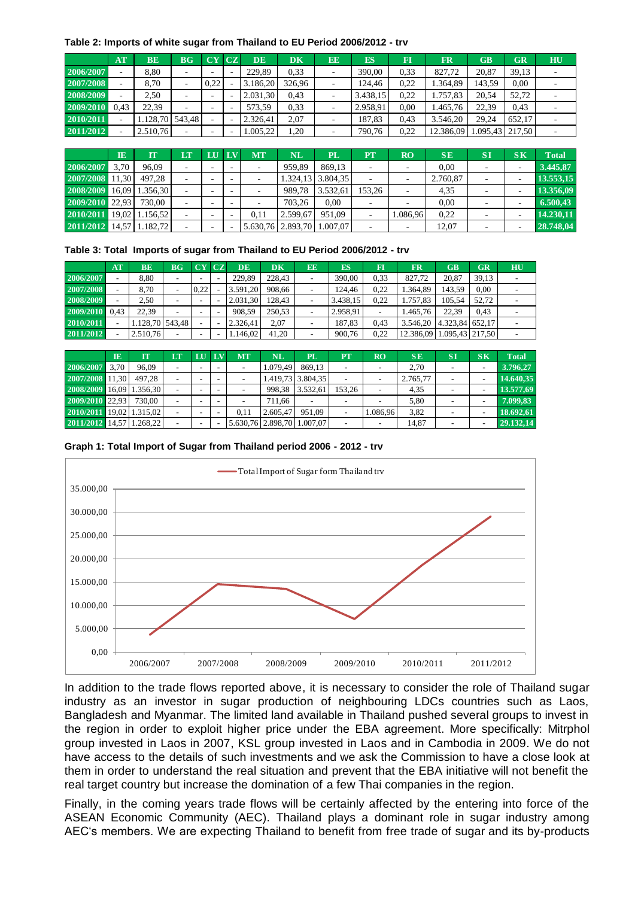#### **Table 2: Imports of white sugar from Thailand to EU Period 2006/2012 - trv**

| Table 2: Imports of white sugar from Thailand to EU Period 2006/2012 - trv | <b>AT</b>                | <b>BE</b>         | BG | CY   | CZ     | <b>DE</b> | <b>DK</b> | EE                       | ES        | FI   | <b>FR</b> | $\overline{GB}$   | GR             | HU           |
|----------------------------------------------------------------------------|--------------------------|-------------------|----|------|--------|-----------|-----------|--------------------------|-----------|------|-----------|-------------------|----------------|--------------|
| 2006/2007                                                                  | $\overline{\phantom{a}}$ | 8.80              |    |      | $\sim$ | 229.89    | 0.33      | $\overline{\phantom{a}}$ | 390,00    | 0.33 | 827,72    | 20,87             | 39,13          |              |
| 2007/2008                                                                  | ٠                        | 8,70              | ۰  | 0,22 | $\sim$ | 3.186.20  | 326,96    | $\overline{\phantom{a}}$ | 124,46    | 0,22 | 1.364.89  | 143.59            | 0,00           |              |
| 2008/2009                                                                  | $\overline{\phantom{a}}$ | 2.50              |    |      | ÷      | 2.031.30  | 0.43      | ۰                        | 3.438.15  | 0,22 | 1.757.83  | 20.54             | 52,72          |              |
| 2009/2010                                                                  | 0.43                     | 22.39             |    | -    | $\sim$ | 573,59    | 0.33      | ۰                        | 2.958.91  | 0.00 | 1.465,76  | 22,39             | 0,43           |              |
| 2010/2011                                                                  | ٠                        | 1.128.70   543.48 |    |      | ÷      | 2.326.41  | 2.07      | ٠                        | 187.83    | 0.43 | 3.546.20  | 29.24             | 652,17         |              |
| 2011/2012                                                                  | ä,                       | 2.510.76          |    |      | ÷      | .005,22   | 1,20      | ۰                        | 790,76    | 0,22 | 12.386.09 | 1.095.43   217.50 |                |              |
|                                                                            |                          |                   |    |      |        |           |           |                          |           |      |           |                   |                |              |
|                                                                            | $\overline{\mathbf{E}}$  | M                 | LT | LU.  | LV     | <b>MT</b> | <b>NL</b> | <b>PL</b>                | <b>PT</b> | RO   | SE        | <b>SI</b>         | S <sub>K</sub> | <b>Total</b> |
| 2006/2007                                                                  | 3.70                     | 96.09             |    |      |        | ۰         | 959.89    | 869.13                   |           | ۰    | 0.00      |                   | ۰              | 3.445.87     |

|                 | $\overline{\mathbf{E}}$ | TT             | ſЛ | LU 1 | I.V                      | $\overline{\text{MT}}$   | NL.      | PL                         | PT     | $\overline{RO}$ | SE       | <b>SI</b>                | S <sub>K</sub>           | <b>Total</b> |
|-----------------|-------------------------|----------------|----|------|--------------------------|--------------------------|----------|----------------------------|--------|-----------------|----------|--------------------------|--------------------------|--------------|
| 2006/2007       | 3.70                    | 96.09          |    |      | $\overline{\phantom{a}}$ | $\overline{\phantom{a}}$ | 959.89   | 869.13                     |        |                 | 0.00     | $\overline{\phantom{a}}$ | ٠                        | 3.445.87     |
| 2007/2008       | 11.30                   | 497.28         |    |      | <b>.</b>                 |                          |          | 1.324.13 3.804.35          |        |                 | 2.760.87 |                          | -                        | 13.553.15    |
| 2008/2009       |                         | 16,09 1.356,30 |    |      | $\overline{\phantom{a}}$ |                          | 989.78   | 3.532.61                   | 153.26 |                 | 4,35     |                          | ٠                        | 13.356.09    |
| 2009/2010 22.93 |                         | 730.00         |    |      |                          | ۰                        | 703.26   | 0.00                       |        |                 | 0.00     |                          | $\overline{\phantom{a}}$ | 6.500.43     |
| 2010/2011       |                         | 19,02 1.156,52 |    |      |                          | 0.11                     | 2.599.67 | 951.09                     |        | .086.96         | 0.22     |                          | ۰                        | 14.230,11    |
| 2011/2012       |                         | 14,57 1.182,72 |    |      |                          |                          |          | 5.630,76 2.893,70 1.007,07 |        |                 | 12.07    | -                        | -                        | 28.748,04    |

| 2011/2012 14.57 1.182.72 |                                                                            |                 |           |           |                          | $\sim$                   | 5.630,76   2.893,70   1.007,07 |                |           | ٠    | ۰                             | 12,07           |                          |              |
|--------------------------|----------------------------------------------------------------------------|-----------------|-----------|-----------|--------------------------|--------------------------|--------------------------------|----------------|-----------|------|-------------------------------|-----------------|--------------------------|--------------|
|                          | Table 3: Total Imports of sugar from Thailand to EU Period 2006/2012 - trv |                 |           |           |                          |                          |                                |                |           |      |                               |                 |                          |              |
|                          | <b>AT</b>                                                                  | <b>BE</b>       | <b>BG</b> | <b>CY</b> | CZ                       | <b>DE</b>                | <b>DK</b>                      | <b>EE</b>      | ES        | F1   | <b>FR</b>                     | <b>GB</b>       | GR                       | HU           |
| 2006/2007                | $\overline{\phantom{a}}$                                                   | 8.80            |           |           | $\overline{\phantom{a}}$ | 229.89                   | 228,43                         | $\overline{a}$ | 390.00    | 0.33 | 827,72                        | 20.87           | 39,13                    |              |
| 2007/2008                | ۰                                                                          | 8.70            |           | 0,22      | $\overline{\phantom{a}}$ | 3.591,20                 | 908,66                         |                | 124.46    | 0,22 | 1.364.89                      | 143.59          | 0.00                     |              |
| 2008/2009                | $\overline{\phantom{0}}$                                                   | 2.50            |           |           | $\overline{\phantom{a}}$ | 2.031.30                 | 128.43                         |                | 3.438.15  | 0,22 | 1.757.83                      | 105.54          | 52,72                    |              |
| 2009/2010                | 0.43                                                                       | 22.39           |           |           | $\overline{\phantom{a}}$ | 908.59                   | 250.53                         | -              | 2.958.91  | ٠    | 1.465.76                      | 22.39           | 0.43                     |              |
| 2010/2011                | $\overline{\phantom{a}}$                                                   | 1.128.70 543.48 |           |           | $\overline{\phantom{a}}$ | 2.326,41                 | 2,07                           |                | 187,83    | 0.43 | 3.546.20                      | 4.323.84 652.17 |                          |              |
| 2011/2012                | ٠                                                                          | 2.510.76        |           |           | $\overline{\phantom{a}}$ | 1.146.02                 | 41,20                          |                | 900.76    | 0,22 | 12.386.09   1.095.43   217.50 |                 |                          |              |
|                          |                                                                            |                 |           |           |                          |                          |                                |                |           |      |                               |                 |                          |              |
|                          | $\mathbf{I}$ <b>E</b>                                                      | IT              | LT        | LU        | $L\overline{V}$          | <b>MT</b>                | <b>NL</b>                      | PL             | <b>PT</b> | RO   | <b>SE</b>                     | <b>SI</b>       | S <sub>K</sub>           | <b>Total</b> |
| 2006/2007                | 3.70                                                                       | 96.09           |           |           |                          | $\overline{\phantom{a}}$ | 1.079.49                       | 869.13         |           |      | 2.70                          |                 | $\overline{\phantom{0}}$ | 3.796.27     |

|                          | $\overline{\mathbf{I}}$ E | TΤ     | LТ | IJ | LV                       | <b>MT</b>                | NL.                        | PL                | PT     | RO       | SE       | <b>SI</b> | S <sub>K</sub>           | <b>Total</b> |
|--------------------------|---------------------------|--------|----|----|--------------------------|--------------------------|----------------------------|-------------------|--------|----------|----------|-----------|--------------------------|--------------|
| 2006/2007                | 3.70                      | 96.09  |    |    | $\overline{\phantom{0}}$ | $\overline{\phantom{0}}$ | 1.079.49                   | 869.13            |        |          | 2.70     |           |                          | 3.796.27     |
| 2007/2008 11:30          |                           | 497.28 |    |    | $\overline{\phantom{a}}$ |                          |                            | 1.419.73 3.804.35 |        |          | 2.765.77 |           |                          | 14.640.35    |
| 2008/2009 16.09 1.356.30 |                           |        |    |    |                          |                          | 998.38                     | 3.532,61          | 153.26 |          | 4,35     |           |                          | 13.577.69    |
| 2009/2010 22.93          |                           | 730.00 |    |    |                          |                          | 711.66                     |                   |        |          | 5,80     |           | -                        | 7.099.83     |
| 2010/2011 19.02 1.315.02 |                           |        |    |    |                          | 0.11                     | 2.605.47                   | 951.09            |        | 1.086.96 | 3,82     |           | $\overline{\phantom{a}}$ | 18.692.61    |
| 2011/2012 14.57 1.268,22 |                           |        |    |    |                          |                          | 5.630,76 2.898,70 1.007,07 |                   |        |          | 14.87    |           | $\overline{\phantom{a}}$ | 29.132,14    |

#### **Graph 1: Total Import of Sugar from Thailand period 2006 - 2012 - trv**



In addition to the trade flows reported above, it is necessary to consider the role of Thailand sugar industry as an investor in sugar production of neighbouring LDCs countries such as Laos, Bangladesh and Myanmar. The limited land available in Thailand pushed several groups to invest in the region in order to exploit higher price under the EBA agreement. More specifically: Mitrphol group invested in Laos in 2007, KSL group invested in Laos and in Cambodia in 2009. We do not have access to the details of such investments and we ask the Commission to have a close look at them in order to understand the real situation and prevent that the EBA initiative will not benefit the real target country but increase the domination of a few Thai companies in the region.

Finally, in the coming years trade flows will be certainly affected by the entering into force of the ASEAN Economic Community (AEC). Thailand plays a dominant role in sugar industry among AEC's members. We are expecting Thailand to benefit from free trade of sugar and its by-products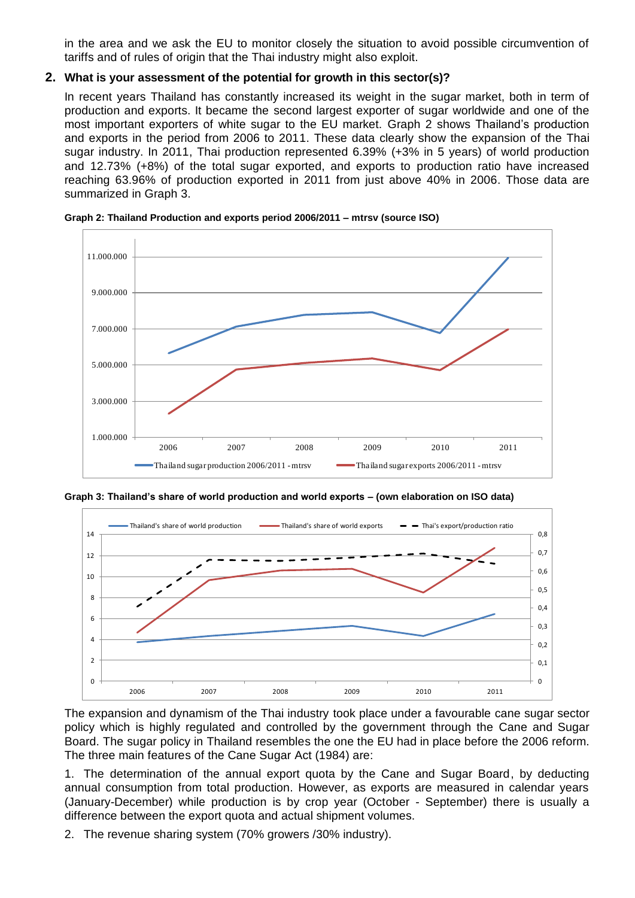in the area and we ask the EU to monitor closely the situation to avoid possible circumvention of tariffs and of rules of origin that the Thai industry might also exploit.

# **2. What is your assessment of the potential for growth in this sector(s)?**

In recent years Thailand has constantly increased its weight in the sugar market, both in term of production and exports. It became the second largest exporter of sugar worldwide and one of the most important exporters of white sugar to the EU market. Graph 2 shows Thailand's production and exports in the period from 2006 to 2011. These data clearly show the expansion of the Thai sugar industry. In 2011, Thai production represented 6.39% (+3% in 5 years) of world production and 12.73% (+8%) of the total sugar exported, and exports to production ratio have increased reaching 63.96% of production exported in 2011 from just above 40% in 2006. Those data are summarized in Graph 3.



**Graph 2: Thailand Production and exports period 2006/2011 – mtrsv (source ISO)**

**Graph 3: Thailand's share of world production and world exports – (own elaboration on ISO data)**



The expansion and dynamism of the Thai industry took place under a favourable cane sugar sector policy which is highly regulated and controlled by the government through the Cane and Sugar Board. The sugar policy in Thailand resembles the one the EU had in place before the 2006 reform. The three main features of the Cane Sugar Act (1984) are:

1. The determination of the annual export quota by the Cane and Sugar Board, by deducting annual consumption from total production. However, as exports are measured in calendar years (January-December) while production is by crop year (October - September) there is usually a difference between the export quota and actual shipment volumes.

2. The revenue sharing system (70% growers /30% industry).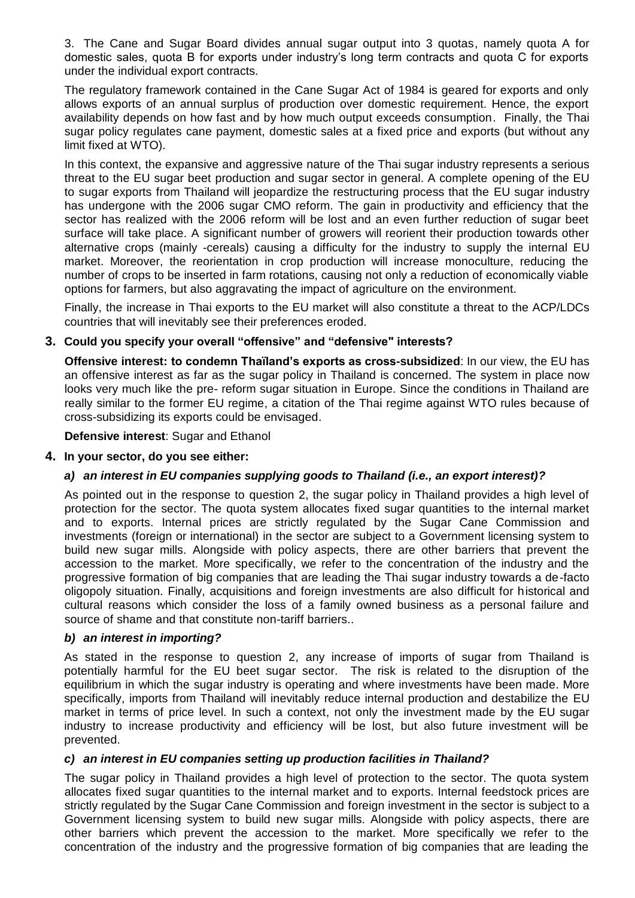3. The Cane and Sugar Board divides annual sugar output into 3 quotas, namely quota A for domestic sales, quota B for exports under industry's long term contracts and quota C for exports under the individual export contracts.

The regulatory framework contained in the Cane Sugar Act of 1984 is geared for exports and only allows exports of an annual surplus of production over domestic requirement. Hence, the export availability depends on how fast and by how much output exceeds consumption. Finally, the Thai sugar policy regulates cane payment, domestic sales at a fixed price and exports (but without any limit fixed at WTO).

In this context, the expansive and aggressive nature of the Thai sugar industry represents a serious threat to the EU sugar beet production and sugar sector in general. A complete opening of the EU to sugar exports from Thailand will jeopardize the restructuring process that the EU sugar industry has undergone with the 2006 sugar CMO reform. The gain in productivity and efficiency that the sector has realized with the 2006 reform will be lost and an even further reduction of sugar beet surface will take place. A significant number of growers will reorient their production towards other alternative crops (mainly -cereals) causing a difficulty for the industry to supply the internal EU market. Moreover, the reorientation in crop production will increase monoculture, reducing the number of crops to be inserted in farm rotations, causing not only a reduction of economically viable options for farmers, but also aggravating the impact of agriculture on the environment.

Finally, the increase in Thai exports to the EU market will also constitute a threat to the ACP/LDCs countries that will inevitably see their preferences eroded.

#### **3. Could you specify your overall "offensive" and "defensive" interests?**

**Offensive interest: to condemn Thaïland's exports as cross-subsidized**: In our view, the EU has an offensive interest as far as the sugar policy in Thailand is concerned. The system in place now looks very much like the pre- reform sugar situation in Europe. Since the conditions in Thailand are really similar to the former EU regime, a citation of the Thai regime against WTO rules because of cross-subsidizing its exports could be envisaged.

**Defensive interest**: Sugar and Ethanol

#### **4. In your sector, do you see either:**

#### *a) an interest in EU companies supplying goods to Thailand (i.e., an export interest)?*

As pointed out in the response to question 2, the sugar policy in Thailand provides a high level of protection for the sector. The quota system allocates fixed sugar quantities to the internal market and to exports. Internal prices are strictly regulated by the Sugar Cane Commission and investments (foreign or international) in the sector are subject to a Government licensing system to build new sugar mills. Alongside with policy aspects, there are other barriers that prevent the accession to the market. More specifically, we refer to the concentration of the industry and the progressive formation of big companies that are leading the Thai sugar industry towards a de-facto oligopoly situation. Finally, acquisitions and foreign investments are also difficult for historical and cultural reasons which consider the loss of a family owned business as a personal failure and source of shame and that constitute non-tariff barriers..

#### *b) an interest in importing?*

As stated in the response to question 2, any increase of imports of sugar from Thailand is potentially harmful for the EU beet sugar sector. The risk is related to the disruption of the equilibrium in which the sugar industry is operating and where investments have been made. More specifically, imports from Thailand will inevitably reduce internal production and destabilize the EU market in terms of price level. In such a context, not only the investment made by the EU sugar industry to increase productivity and efficiency will be lost, but also future investment will be prevented.

#### *c) an interest in EU companies setting up production facilities in Thailand?*

The sugar policy in Thailand provides a high level of protection to the sector. The quota system allocates fixed sugar quantities to the internal market and to exports. Internal feedstock prices are strictly regulated by the Sugar Cane Commission and foreign investment in the sector is subject to a Government licensing system to build new sugar mills. Alongside with policy aspects, there are other barriers which prevent the accession to the market. More specifically we refer to the concentration of the industry and the progressive formation of big companies that are leading the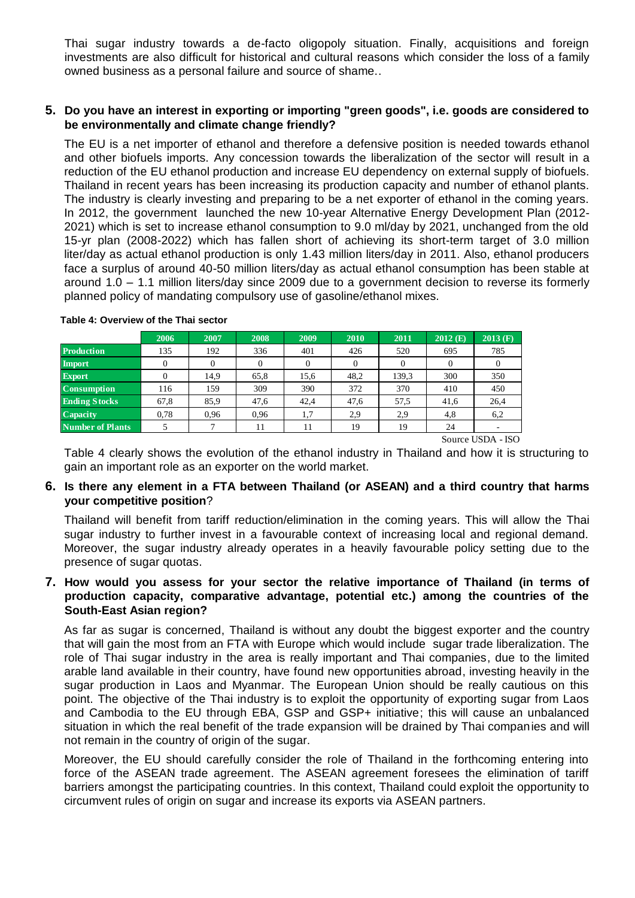Thai sugar industry towards a de-facto oligopoly situation. Finally, acquisitions and foreign investments are also difficult for historical and cultural reasons which consider the loss of a family owned business as a personal failure and source of shame..

#### **5. Do you have an interest in exporting or importing "green goods", i.e. goods are considered to be environmentally and climate change friendly?**

The EU is a net importer of ethanol and therefore a defensive position is needed towards ethanol and other biofuels imports. Any concession towards the liberalization of the sector will result in a reduction of the EU ethanol production and increase EU dependency on external supply of biofuels. Thailand in recent years has been increasing its production capacity and number of ethanol plants. The industry is clearly investing and preparing to be a net exporter of ethanol in the coming years. In 2012, the government launched the new 10-year Alternative Energy Development Plan (2012- 2021) which is set to increase ethanol consumption to 9.0 ml/day by 2021, unchanged from the old 15-yr plan (2008-2022) which has fallen short of achieving its short-term target of 3.0 million liter/day as actual ethanol production is only 1.43 million liters/day in 2011. Also, ethanol producers face a surplus of around 40-50 million liters/day as actual ethanol consumption has been stable at around 1.0 – 1.1 million liters/day since 2009 due to a government decision to reverse its formerly planned policy of mandating compulsory use of gasoline/ethanol mixes.

| <b>Production</b><br>135<br>785<br>192<br>336<br>401<br>426<br>520<br>695<br>$\Omega$<br>0<br>0<br>0<br>$\Omega$<br>$\Omega$<br>$\Omega$<br>$\theta$<br>48.2<br>350<br>139.3<br>14.9<br>65.8<br>300<br>15.6<br>$\Omega$<br>309<br>372<br>450<br><b>Consumption</b><br>159<br>390<br>370<br>410<br>116 | 2006 | 2007 | 2008 | 2009 | 2010 | 2011 | $2012$ (E) | $2013$ (F) |
|-------------------------------------------------------------------------------------------------------------------------------------------------------------------------------------------------------------------------------------------------------------------------------------------------------|------|------|------|------|------|------|------------|------------|
| <b>Import</b><br><b>Export</b>                                                                                                                                                                                                                                                                        |      |      |      |      |      |      |            |            |
|                                                                                                                                                                                                                                                                                                       |      |      |      |      |      |      |            |            |
|                                                                                                                                                                                                                                                                                                       |      |      |      |      |      |      |            |            |
|                                                                                                                                                                                                                                                                                                       |      |      |      |      |      |      |            |            |
| <b>Ending Stocks</b><br>42.4<br>85.9<br>47.6<br>47.6<br>57,5<br>26,4<br>67.8<br>41,6                                                                                                                                                                                                                  |      |      |      |      |      |      |            |            |
| <b>Capacity</b><br>0.78<br>1,7<br>0.96<br>0.96<br>2,9<br>2.9<br>4,8<br>6,2                                                                                                                                                                                                                            |      |      |      |      |      |      |            |            |
| 19<br><b>Number of Plants</b><br>19<br>24<br>11<br>11                                                                                                                                                                                                                                                 |      |      |      |      |      |      |            |            |

#### **Table 4: Overview of the Thai sector**

Source USDA - ISO

Table 4 clearly shows the evolution of the ethanol industry in Thailand and how it is structuring to gain an important role as an exporter on the world market.

#### **6. Is there any element in a FTA between Thailand (or ASEAN) and a third country that harms your competitive position**?

Thailand will benefit from tariff reduction/elimination in the coming years. This will allow the Thai sugar industry to further invest in a favourable context of increasing local and regional demand. Moreover, the sugar industry already operates in a heavily favourable policy setting due to the presence of sugar quotas.

## **7. How would you assess for your sector the relative importance of Thailand (in terms of production capacity, comparative advantage, potential etc.) among the countries of the South-East Asian region?**

As far as sugar is concerned, Thailand is without any doubt the biggest exporter and the country that will gain the most from an FTA with Europe which would include sugar trade liberalization. The role of Thai sugar industry in the area is really important and Thai companies, due to the limited arable land available in their country, have found new opportunities abroad, investing heavily in the sugar production in Laos and Myanmar. The European Union should be really cautious on this point. The objective of the Thai industry is to exploit the opportunity of exporting sugar from Laos and Cambodia to the EU through EBA, GSP and GSP+ initiative; this will cause an unbalanced situation in which the real benefit of the trade expansion will be drained by Thai companies and will not remain in the country of origin of the sugar.

Moreover, the EU should carefully consider the role of Thailand in the forthcoming entering into force of the ASEAN trade agreement. The ASEAN agreement foresees the elimination of tariff barriers amongst the participating countries. In this context, Thailand could exploit the opportunity to circumvent rules of origin on sugar and increase its exports via ASEAN partners.